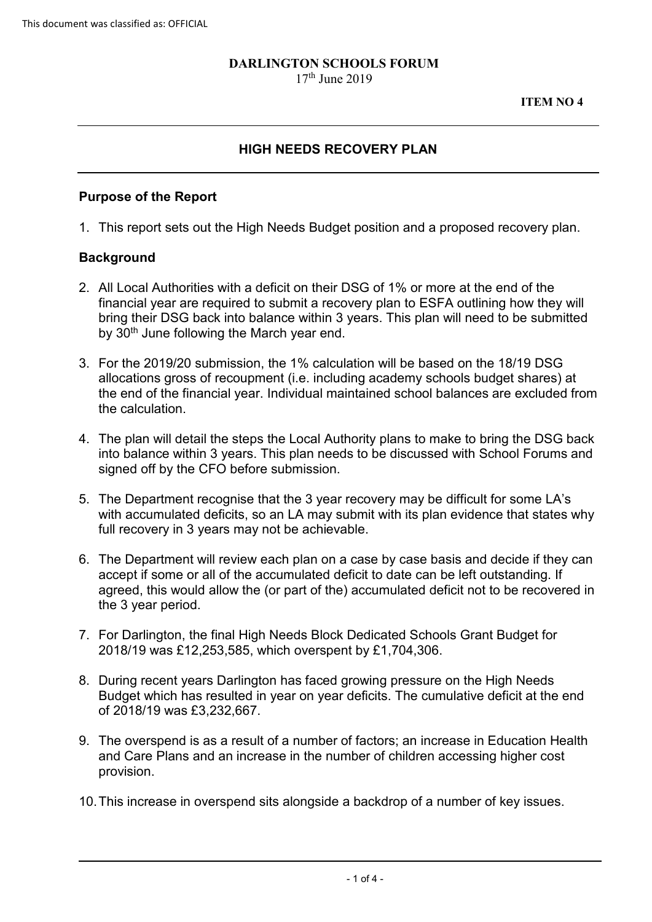#### **DARLINGTON SCHOOLS FORUM**  $17<sup>th</sup>$  June 2019

#### **HIGH NEEDS RECOVERY PLAN**

#### **Purpose of the Report**

1. This report sets out the High Needs Budget position and a proposed recovery plan.

#### **Background**

- 2. All Local Authorities with a deficit on their DSG of 1% or more at the end of the financial year are required to submit a recovery plan to ESFA outlining how they will bring their DSG back into balance within 3 years. This plan will need to be submitted by 30<sup>th</sup> June following the March year end.
- 3. For the 2019/20 submission, the 1% calculation will be based on the 18/19 DSG allocations gross of recoupment (i.e. including academy schools budget shares) at the end of the financial year. Individual maintained school balances are excluded from the calculation.
- 4. The plan will detail the steps the Local Authority plans to make to bring the DSG back into balance within 3 years. This plan needs to be discussed with School Forums and signed off by the CFO before submission.
- 5. The Department recognise that the 3 year recovery may be difficult for some LA's with accumulated deficits, so an LA may submit with its plan evidence that states why full recovery in 3 years may not be achievable.
- 6. The Department will review each plan on a case by case basis and decide if they can accept if some or all of the accumulated deficit to date can be left outstanding. If agreed, this would allow the (or part of the) accumulated deficit not to be recovered in the 3 year period.
- 7. For Darlington, the final High Needs Block Dedicated Schools Grant Budget for 2018/19 was £12,253,585, which overspent by £1,704,306.
- 8. During recent years Darlington has faced growing pressure on the High Needs Budget which has resulted in year on year deficits. The cumulative deficit at the end of 2018/19 was £3,232,667.
- 9. The overspend is as a result of a number of factors; an increase in Education Health and Care Plans and an increase in the number of children accessing higher cost provision.
- 10.This increase in overspend sits alongside a backdrop of a number of key issues.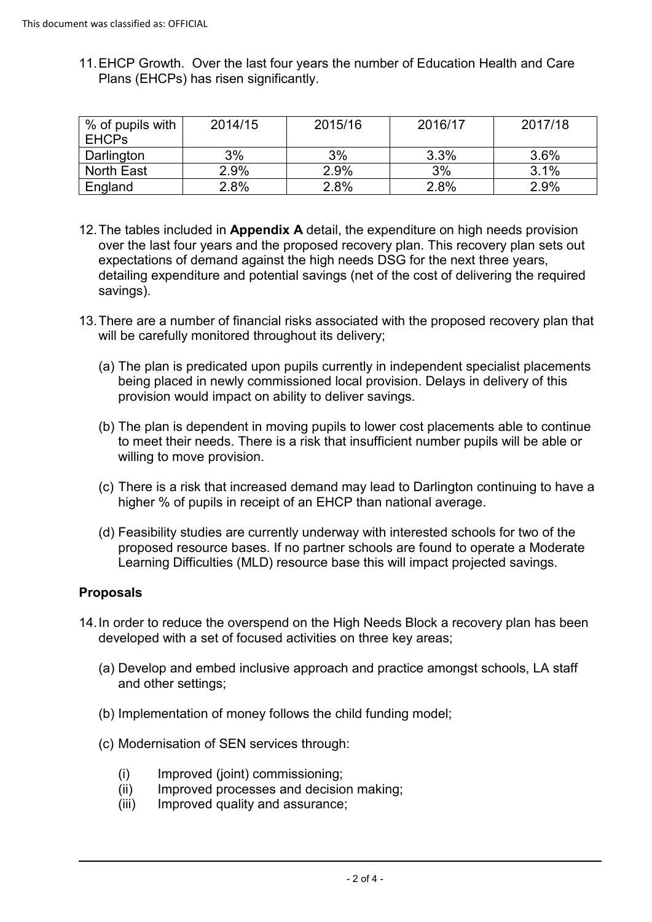11.EHCP Growth. Over the last four years the number of Education Health and Care Plans (EHCPs) has risen significantly.

| $\%$ of pupils with | 2014/15 | 2015/16 | 2016/17 | 2017/18 |
|---------------------|---------|---------|---------|---------|
| <b>EHCPs</b>        |         |         |         |         |
| Darlington          | 3%      | 3%      | 3.3%    | 3.6%    |
| North East          | 2.9%    | 2.9%    | 3%      | 3.1%    |
| England             | 2.8%    | 2.8%    | 2.8%    | 2.9%    |

- 12.The tables included in **Appendix A** detail, the expenditure on high needs provision over the last four years and the proposed recovery plan. This recovery plan sets out expectations of demand against the high needs DSG for the next three years, detailing expenditure and potential savings (net of the cost of delivering the required savings).
- 13.There are a number of financial risks associated with the proposed recovery plan that will be carefully monitored throughout its delivery;
	- (a) The plan is predicated upon pupils currently in independent specialist placements being placed in newly commissioned local provision. Delays in delivery of this provision would impact on ability to deliver savings.
	- (b) The plan is dependent in moving pupils to lower cost placements able to continue to meet their needs. There is a risk that insufficient number pupils will be able or willing to move provision.
	- (c) There is a risk that increased demand may lead to Darlington continuing to have a higher % of pupils in receipt of an EHCP than national average.
	- (d) Feasibility studies are currently underway with interested schools for two of the proposed resource bases. If no partner schools are found to operate a Moderate Learning Difficulties (MLD) resource base this will impact projected savings.

## **Proposals**

- 14.In order to reduce the overspend on the High Needs Block a recovery plan has been developed with a set of focused activities on three key areas;
	- (a) Develop and embed inclusive approach and practice amongst schools, LA staff and other settings;
	- (b) Implementation of money follows the child funding model;
	- (c) Modernisation of SEN services through:
		- (i) Improved (joint) commissioning;
		- (ii) Improved processes and decision making;
		- (iii) Improved quality and assurance;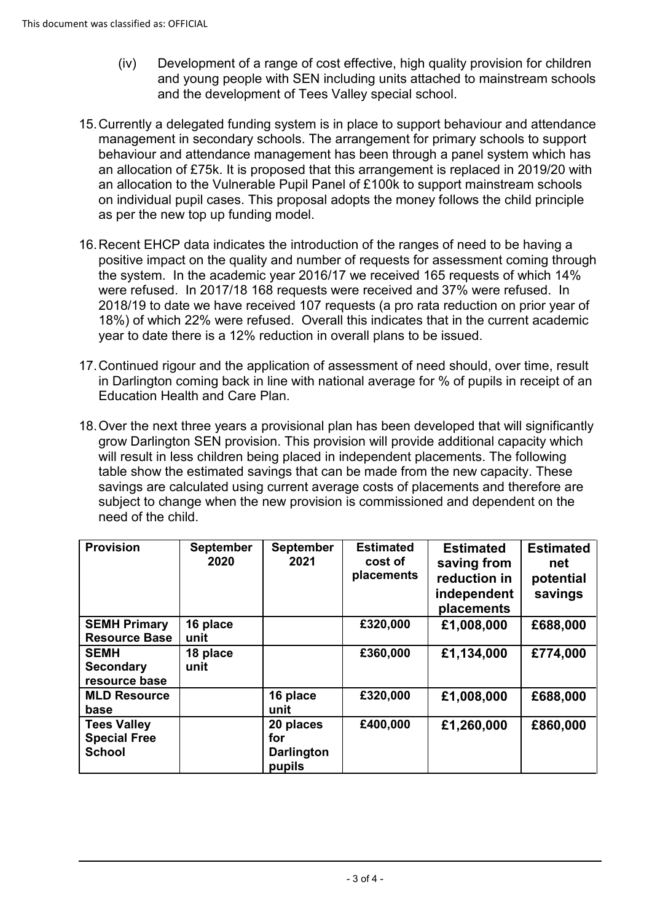- (iv) Development of a range of cost effective, high quality provision for children and young people with SEN including units attached to mainstream schools and the development of Tees Valley special school.
- 15.Currently a delegated funding system is in place to support behaviour and attendance management in secondary schools. The arrangement for primary schools to support behaviour and attendance management has been through a panel system which has an allocation of £75k. It is proposed that this arrangement is replaced in 2019/20 with an allocation to the Vulnerable Pupil Panel of £100k to support mainstream schools on individual pupil cases. This proposal adopts the money follows the child principle as per the new top up funding model.
- 16.Recent EHCP data indicates the introduction of the ranges of need to be having a positive impact on the quality and number of requests for assessment coming through the system. In the academic year 2016/17 we received 165 requests of which 14% were refused. In 2017/18 168 requests were received and 37% were refused. In 2018/19 to date we have received 107 requests (a pro rata reduction on prior year of 18%) of which 22% were refused. Overall this indicates that in the current academic year to date there is a 12% reduction in overall plans to be issued.
- 17.Continued rigour and the application of assessment of need should, over time, result in Darlington coming back in line with national average for % of pupils in receipt of an Education Health and Care Plan.
- 18.Over the next three years a provisional plan has been developed that will significantly grow Darlington SEN provision. This provision will provide additional capacity which will result in less children being placed in independent placements. The following table show the estimated savings that can be made from the new capacity. These savings are calculated using current average costs of placements and therefore are subject to change when the new provision is commissioned and dependent on the need of the child.

| <b>Provision</b>                                           | <b>September</b><br>2020 | <b>September</b><br>2021                        | <b>Estimated</b><br>cost of<br>placements | <b>Estimated</b><br>saving from<br>reduction in<br>independent<br>placements | <b>Estimated</b><br>net<br>potential<br>savings |
|------------------------------------------------------------|--------------------------|-------------------------------------------------|-------------------------------------------|------------------------------------------------------------------------------|-------------------------------------------------|
| <b>SEMH Primary</b><br><b>Resource Base</b>                | 16 place<br>unit         |                                                 | £320,000                                  | £1,008,000                                                                   | £688,000                                        |
| <b>SEMH</b><br><b>Secondary</b><br>resource base           | 18 place<br>unit         |                                                 | £360,000                                  | £1,134,000                                                                   | £774,000                                        |
| <b>MLD Resource</b><br>base                                |                          | 16 place<br>unit                                | £320,000                                  | £1,008,000                                                                   | £688,000                                        |
| <b>Tees Valley</b><br><b>Special Free</b><br><b>School</b> |                          | 20 places<br>for<br><b>Darlington</b><br>pupils | £400,000                                  | £1,260,000                                                                   | £860,000                                        |